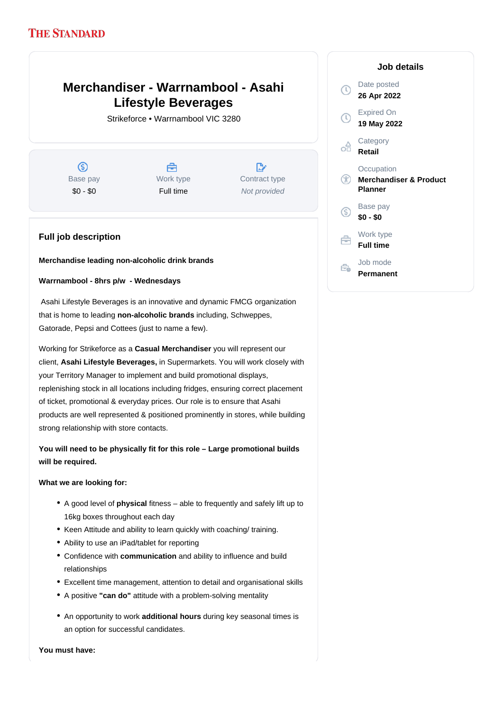## **THE STANDARD**

# **Merchandiser - Warrnambool - Asahi Lifestyle Beverages**

Strikeforce • Warrnambool VIC 3280

 $\circ$ Base pay \$0 - \$0

A Work type Full time

 $\mathbb{R}$ Contract type Not provided

### **Full job description**

**Merchandise leading non-alcoholic drink brands**

#### **Warrnambool - 8hrs p/w - Wednesdays**

 Asahi Lifestyle Beverages is an innovative and dynamic FMCG organization that is home to leading non-alcoholic brands including, Schweppes, Gatorade, Pepsi and Cottees (just to name a few).

Working for Strikeforce as a **Casual Merchandiser** you will represent our client, Asahi Lifestyle Beverages, in Supermarkets. You will work closely with your Territory Manager to implement and build promotional displays, replenishing stock in all locations including fridges, ensuring correct placement of ticket, promotional & everyday prices. Our role is to ensure that Asahi products are well represented & positioned prominently in stores, while building strong relationship with store contacts.

**You will need to be physically fit for this role – Large promotional builds will be required.**

#### **What we are looking for:**

- A good level of **physical** fitness able to frequently and safely lift up to 16kg boxes throughout each day
- Keen Attitude and ability to learn quickly with coaching/ training.
- Ability to use an iPad/tablet for reporting
- Confidence with communication and ability to influence and build relationships
- Excellent time management, attention to detail and organisational skills
- A positive **"can do"** attitude with a problem-solving mentality
- An opportunity to work additional hours during key seasonal times is an option for successful candidates.

**You must have:**

#### **Job details** Date posted Œ **26 Apr 2022** Expired On  $\bigcap$ **19 May 2022 Category** off **Retail Occupation** G<sub>D</sub> **Merchandiser & Product Planner** Base pay (S) **\$0 - \$0** Work type ⇔ **Full time** Job mode ÷. **Permanent**